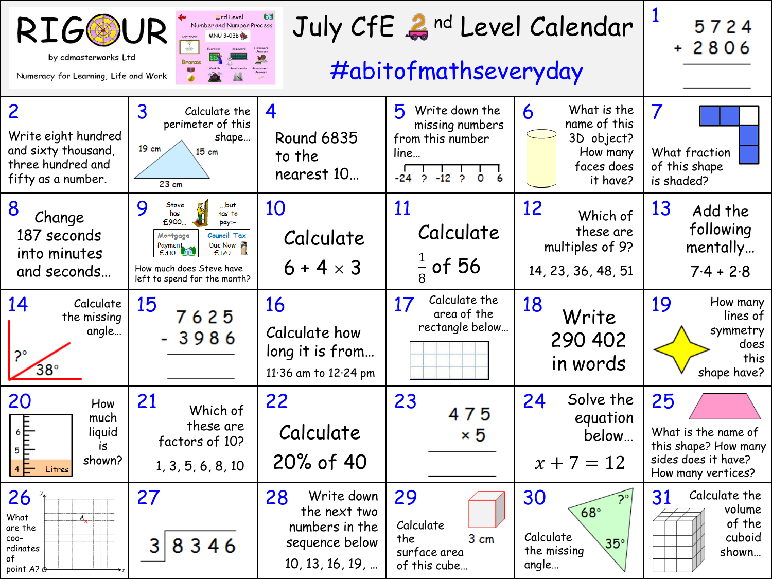| <b>RIGG</b><br>by cdmasterworks Ltd<br>Numeracy for Learning, Life and Work                                                                          | 5724<br>$+2806$                                                                                                                                                                     |                                                                                         |                                                                                                 |                                                                                                |                                                                                                |
|------------------------------------------------------------------------------------------------------------------------------------------------------|-------------------------------------------------------------------------------------------------------------------------------------------------------------------------------------|-----------------------------------------------------------------------------------------|-------------------------------------------------------------------------------------------------|------------------------------------------------------------------------------------------------|------------------------------------------------------------------------------------------------|
| $\overline{2}$<br>Write eight hundred<br>and sixty thousand,<br>three hundred and<br>fifty as a number.                                              | $\overline{3}$<br>Calculate the<br>perimeter of this<br>shape<br>$19 \text{ cm}$<br>15cm<br>23 cm                                                                                   | 4<br><b>Round 6835</b><br>to the<br>nearest 10                                          | 5<br>Write down the<br>missing numbers<br>from this number<br>line<br>6<br>-24<br>-12<br>0<br>2 | What is the<br>6<br>name of this<br>3D object?<br>How many<br>faces does<br>it have?           | $\overline{7}$<br>What fraction<br>of this shape<br>is shaded?                                 |
| 8<br>Change<br>187 seconds<br>into minutes<br>and seconds                                                                                            | 9<br>Steve<br>…but:<br>has<br>has to<br>£900.<br>pay:-<br>Council Tax<br>Mortgage<br>Due Now<br>Payment<br>£310<br>£120<br>How much does Steve have<br>left to spend for the month? | 10<br>Calculate<br>$6 + 4 \times 3$                                                     | 11<br>Calculate<br>$\frac{1}{8}$ of 56                                                          | 12<br>Which of<br>these are<br>multiples of 9?<br>14, 23, 36, 48, 51                           | 13<br>Add the<br>following<br>mentally<br>$7.4 + 2.8$                                          |
| 14<br>Calculate<br>the missing<br>angle<br>$2^{\circ}$<br>$38^\circ$                                                                                 | 15<br>7625<br>-3986                                                                                                                                                                 | 16<br>Calculate how<br>long it is from<br>11.36 am to 12.24 pm                          | Calculate the<br>17<br>area of the<br>rectangle below                                           | 18<br>Write<br>290 402<br>in words                                                             | 19<br>How many<br>lines of<br>symmetry<br>does<br>this<br>shape have?                          |
| 20<br>How<br>much<br>$\begin{array}{c}\n\bullet & \circ \\ \uparrow & \circ \\ \uparrow & \uparrow\n\end{array}$<br>liquid<br>is<br>shown?<br>Litres | 21<br>Which of<br>these are<br>factors of 10?<br>1, 3, 5, 6, 8, 10                                                                                                                  | 22<br>Calculate<br>20% of 40                                                            | 23<br>475<br>×5                                                                                 | Solve the<br>24<br>equation<br>below<br>$x + 7 = 12$                                           | 25<br>What is the name of<br>this shape? How many<br>sides does it have?<br>How many vertices? |
| 26<br>What<br>are the<br>$_{\text{COO}-}$<br>rdinates<br>of<br>point A? of                                                                           | 27<br>8346<br>3                                                                                                                                                                     | 28<br>Write down<br>the next two<br>numbers in the<br>sequence below<br>10, 13, 16, 19, | 29<br>Calculate<br>the<br>3 cm<br>surface area<br>of this cube                                  | 30<br>$\widetilde{P}^{\circ}$<br>$68^\circ$<br>Calculate<br>$35^\circ$<br>the missing<br>angle | Calculate the<br>31<br>volume<br>of the<br>cuboid<br>shown                                     |